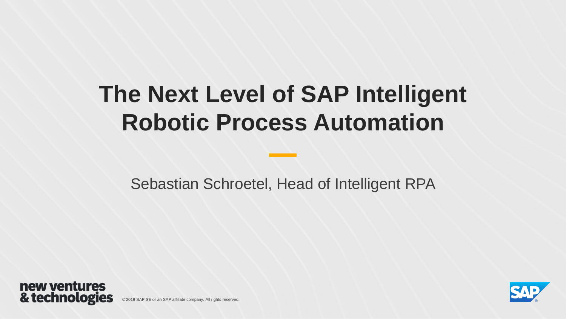# **The Next Level of SAP Intelligent Robotic Process Automation**

Sebastian Schroetel, Head of Intelligent RPA



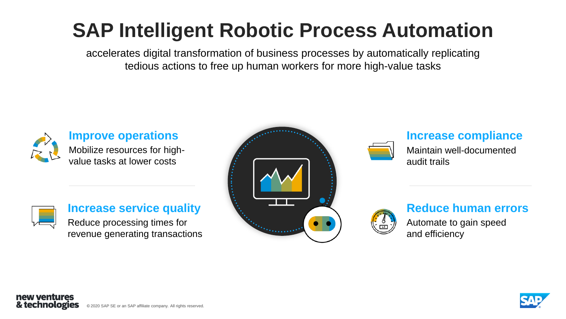# **SAP Intelligent Robotic Process Automation**

accelerates digital transformation of business processes by automatically replicating tedious actions to free up human workers for more high-value tasks



**Improve operations**  Mobilize resources for highvalue tasks at lower costs



## **Increase service quality**

Reduce processing times for revenue generating transactions





## **Increase compliance**

Maintain well-documented audit trails



## **Reduce human errors**

Automate to gain speed and efficiency

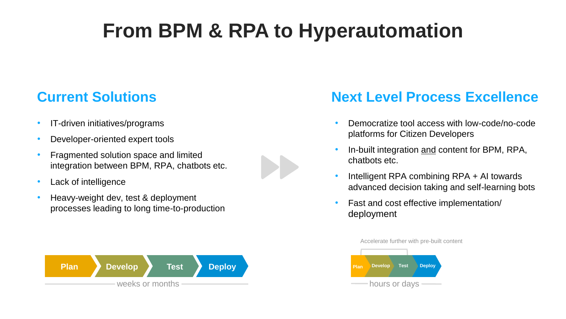# **From BPM & RPA to Hyperautomation**

- IT-driven initiatives/programs
- Developer-oriented expert tools
- Fragmented solution space and limited integration between BPM, RPA, chatbots etc.



• Heavy-weight dev, test & deployment processes leading to long time-to-production



## **Current Solutions <b>Next Level Process Excellence**

- Democratize tool access with low-code/no-code platforms for Citizen Developers
- In-built integration and content for BPM, RPA, chatbots etc.
- Intelligent RPA combining RPA + AI towards advanced decision taking and self-learning bots
- Fast and cost effective implementation/ deployment

Accelerate further with pre-built content

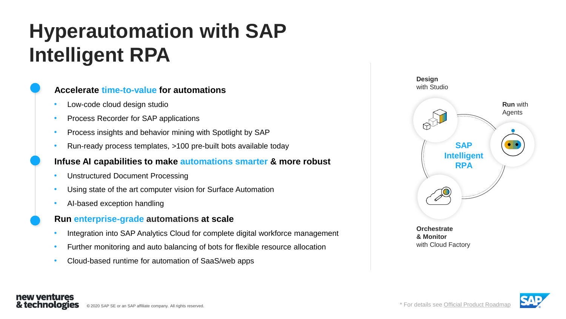# **Hyperautomation with SAP Intelligent RPA**

### **Accelerate time-to-value for automations**

- Low-code cloud design studio
- Process Recorder for SAP applications
- Process insights and behavior mining with Spotlight by SAP
- Run-ready process templates, >100 pre-built bots available today

#### **Infuse AI capabilities to make automations smarter & more robust**

- Unstructured Document Processing
- Using state of the art computer vision for Surface Automation
- AI-based exception handling

new ventures & technologies

#### **Run enterprise-grade automations at scale**

- Integration into SAP Analytics Cloud for complete digital workforce management
- Further monitoring and auto balancing of bots for flexible resource allocation
- Cloud-based runtime for automation of SaaS/web apps



**& Monitor** with Cloud Factory

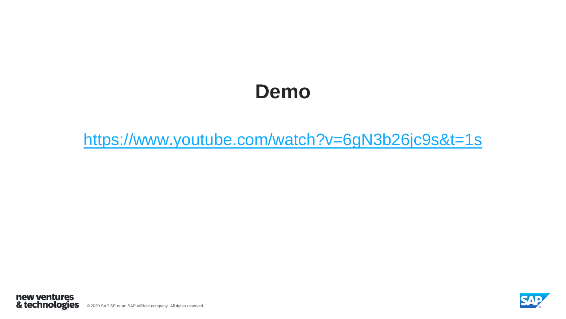## **Demo**

<https://www.youtube.com/watch?v=6gN3b26jc9s&t=1s>



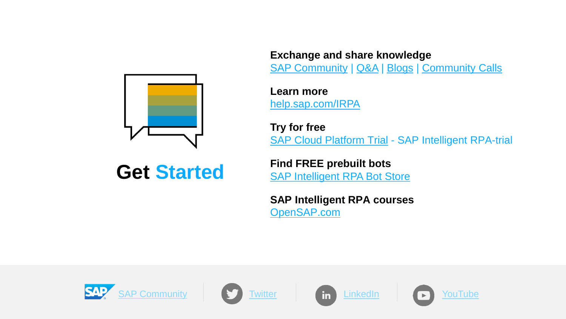

**Get Started**

**Exchange and share knowledge** [SAP Community](https://community.sap.com/topics/intelligent-rpa) | [Q&A](https://answers.sap.com/tags/73554900100800002142) | [Blogs](https://blogs.sap.com/tags/73554900100800002142/) | [Community Calls](https://community.sap.com/topics/intelligent-rpa/community-calls)

**Learn more** [help.sap.com/IRPA](https://help.sap.com/viewer/product/IRPA/Cloud/en-US)

**Try for free** [SAP Cloud Platform Trial](https://help.sap.com/viewer/82d5a2499d8449dda691bb4d5b3d7949/Cloud/en-US) - SAP Intelligent RPA-trial

**Find FREE prebuilt bots** [SAP Intelligent RPA Bot Store](https://store.irpa.cfapps.eu10.hana.ondemand.com/)

**SAP Intelligent RPA courses** [OpenSAP.com](https://open.sap.com/courses?q=rpa)